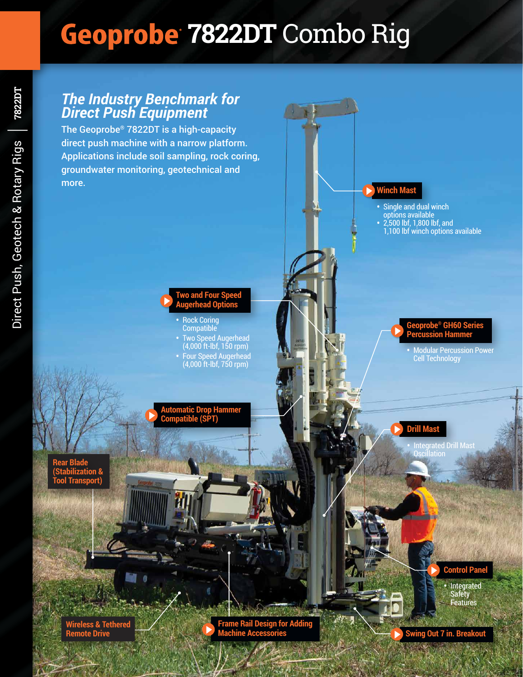# **7822DT** Combo Rig

# *The Industry Benchmark for Direct Push Equipment*

The Geoprobe® 7822DT is a high-capacity direct push machine with a narrow platform. Applications include soil sampling, rock coring, groundwater monitoring, geotechnical and more.



#### • Rock Coring Compatible

• Two Speed Augerhead (4,000 ft-lbf, 150 rpm) • Four Speed Augerhead (4,000 ft-lbf, 750 rpm)

**Automatic Drop Hammer Compatible (SPT)**

**Rear Blade (Stabilization & Tool Transport)**

> **Wireless & Tethered Remote Drive**

**Frame Rail Design for Adding Machine Accessories**

**Winch Mast**

- Single and dual winch options available
- 2,500 lbf, 1,800 lbf, and
- 1,100 lbf winch options available

#### **Geoprobe® GH60 Series Percussion Hammer**

• Modular Percussion Power Cell Technology

## **Drill Mast**

• Integrated Drill Mast

## **Control Panel**

• Integrated **Safety** Features

**7822DT**